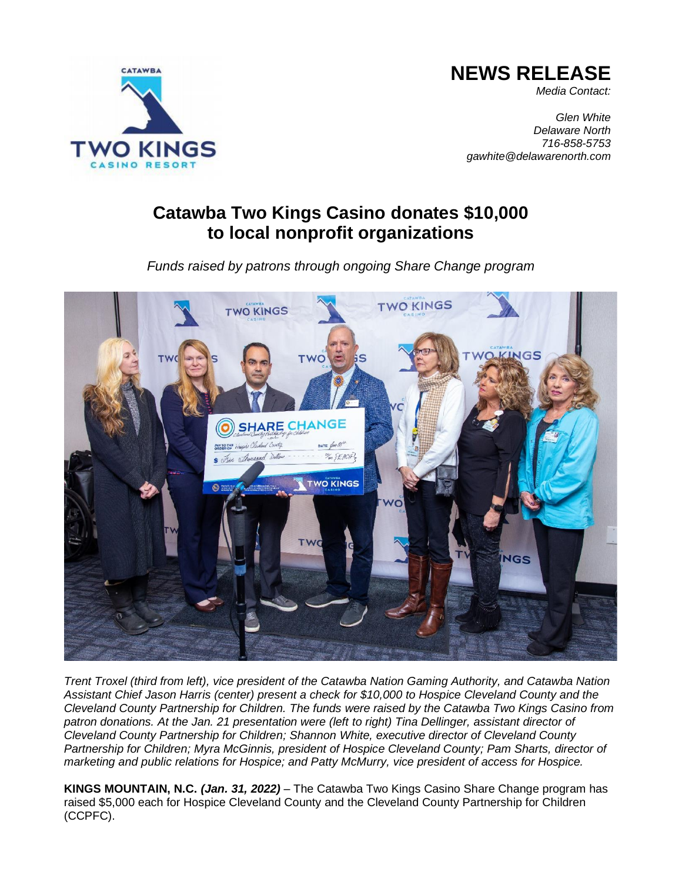

## **NEWS RELEASE**

*Media Contact:*

*Glen White Delaware North 716-858-5753 gawhite@delawarenorth.com*

## **Catawba Two Kings Casino donates \$10,000 to local nonprofit organizations**

*Funds raised by patrons through ongoing Share Change program*



*Trent Troxel (third from left), vice president of the Catawba Nation Gaming Authority, and Catawba Nation Assistant Chief Jason Harris (center) present a check for \$10,000 to Hospice Cleveland County and the Cleveland County Partnership for Children. The funds were raised by the Catawba Two Kings Casino from patron donations. At the Jan. 21 presentation were (left to right) Tina Dellinger, assistant director of Cleveland County Partnership for Children; Shannon White, executive director of Cleveland County Partnership for Children; Myra McGinnis, president of Hospice Cleveland County; Pam Sharts, director of marketing and public relations for Hospice; and Patty McMurry, vice president of access for Hospice.*

**KINGS MOUNTAIN, N.C.** *(Jan. 31, 2022)* – The Catawba Two Kings Casino Share Change program has raised \$5,000 each for Hospice Cleveland County and the Cleveland County Partnership for Children (CCPFC).